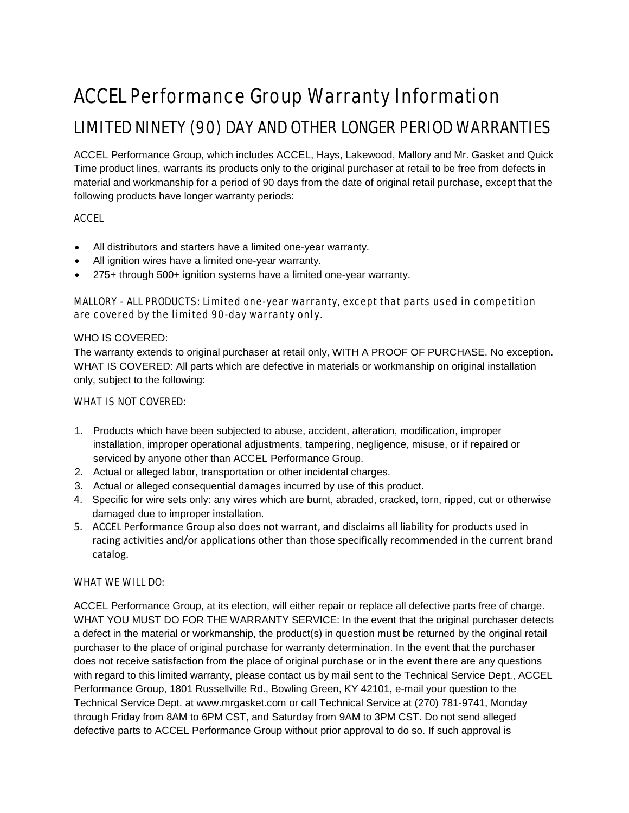# ACCEL Performance Group Warranty Information LIMITED NINETY (90) DAY AND OTHER LONGER PERIOD WARRANTIES

ACCEL Performance Group, which includes ACCEL, Hays, Lakewood, Mallory and Mr. Gasket and Quick Time product lines, warrants its products only to the original purchaser at retail to be free from defects in material and workmanship for a period of 90 days from the date of original retail purchase, except that the following products have longer warranty periods:

## ACCEL

- All distributors and starters have a limited one-year warranty.
- All ignition wires have a limited one-year warranty.
- 275+ through 500+ ignition systems have a limited one-year warranty.

#### MALLORY - ALL PRODUCTS: Limited one-year warranty, except that parts used in competition are covered by the limited 90-day warranty only.

#### WHO IS COVERED:

The warranty extends to original purchaser at retail only, WITH A PROOF OF PURCHASE. No exception. WHAT IS COVERED: All parts which are defective in materials or workmanship on original installation only, subject to the following:

#### WHAT IS NOT COVERED:

- 1. Products which have been subjected to abuse, accident, alteration, modification, improper installation, improper operational adjustments, tampering, negligence, misuse, or if repaired or serviced by anyone other than ACCEL Performance Group.
- 2. Actual or alleged labor, transportation or other incidental charges.
- 3. Actual or alleged consequential damages incurred by use of this product.
- 4. Specific for wire sets only: any wires which are burnt, abraded, cracked, torn, ripped, cut or otherwise damaged due to improper installation.
- 5. ACCEL Performance Group also does not warrant, and disclaims all liability for products used in racing activities and/or applications other than those specifically recommended in the current brand catalog.

### WHAT WE WILL DO:

ACCEL Performance Group, at its election, will either repair or replace all defective parts free of charge. WHAT YOU MUST DO FOR THE WARRANTY SERVICE: In the event that the original purchaser detects a defect in the material or workmanship, the product(s) in question must be returned by the original retail purchaser to the place of original purchase for warranty determination. In the event that the purchaser does not receive satisfaction from the place of original purchase or in the event there are any questions with regard to this limited warranty, please contact us by mail sent to the Technical Service Dept., ACCEL Performance Group, 1801 Russellville Rd., Bowling Green, KY 42101, e-mail your question to the Technical Service Dept. at www.mrgasket.com or call Technical Service at (270) 781-9741, Monday through Friday from 8AM to 6PM CST, and Saturday from 9AM to 3PM CST. Do not send alleged defective parts to ACCEL Performance Group without prior approval to do so. If such approval is